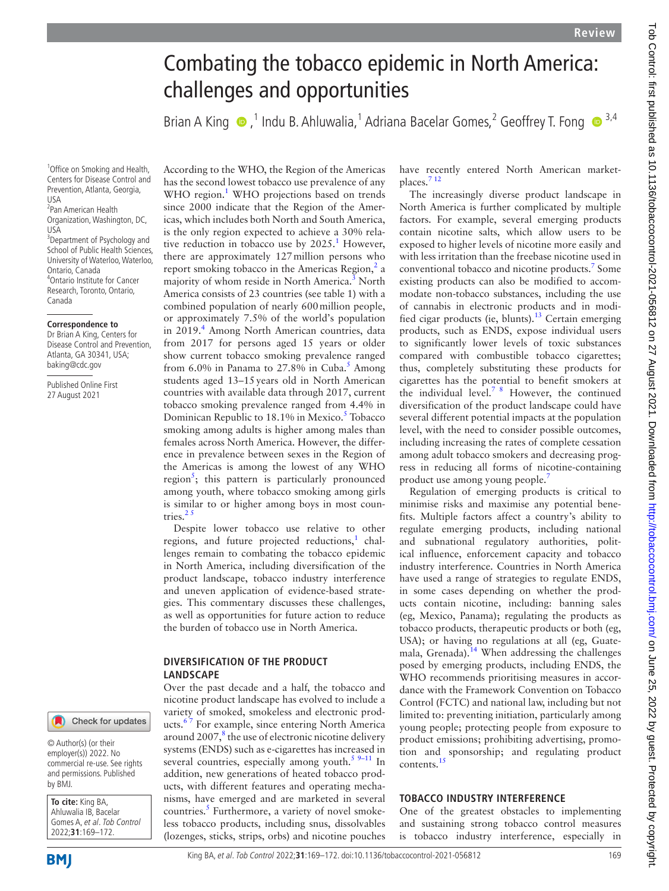# Combating the tobacco epidemic in North America: challenges and opportunities

BrianA King  $\bullet$ , <sup>1</sup> Indu B. Ahluwalia, <sup>1</sup> Adriana Bacelar Gomes, <sup>2</sup> Geoffrey T. Fong  $\bullet$  <sup>3,4</sup>

1 Office on Smoking and Health, Centers for Disease Control and Prevention, Atlanta, Georgia, USA

2 Pan American Health Organization, Washington, DC, USA <sup>3</sup> Department of Psychology and School of Public Health Sciences, University of Waterloo, Waterloo, Ontario, Canada 4 Ontario Institute for Cancer Research, Toronto, Ontario, Canada

#### **Correspondence to**

Dr Brian A King, Centers for Disease Control and Prevention, Atlanta, GA 30341, USA; baking@cdc.gov

Published Online First 27 August 2021

Check for updates

© Author(s) (or their employer(s)) 2022. No commercial re-use. See rights and permissions. Published by BMJ.

**To cite:** King BA, Ahluwalia IB, Bacelar Gomes A, et al. Tob Control 2022;**31**:169–172.

**BMI** 

According to the WHO, the Region of the Americas has the second lowest tobacco use prevalence of any WHO region.<sup>[1](#page-2-0)</sup> WHO projections based on trends since 2000 indicate that the Region of the Americas, which includes both North and South America, is the only region expected to achieve a 30% relative reduction in tobacco use by  $2025$ .<sup>[1](#page-2-0)</sup> However, there are approximately 127million persons who report smoking tobacco in the Americas Region, $^2$  $^2$  a majority of whom reside in North America.<sup>[3](#page-2-2)</sup> North America consists of 23 countries (see table 1) with a combined population of nearly 600million people, or approximately 7.5% of the world's population in 2019.<sup>[4](#page-2-3)</sup> Among North American countries, data from 2017 for persons aged 15 years or older show current tobacco smoking prevalence ranged from 6.0% in Panama to 27.8% in Cuba.<sup>[5](#page-2-4)</sup> Among students aged 13–15years old in North American countries with available data through 2017, current tobacco smoking prevalence ranged from 4.4% in Dominican Republic to 18.1% in Mexico.<sup>[5](#page-2-4)</sup> Tobacco smoking among adults is higher among males than females across North America. However, the difference in prevalence between sexes in the Region of the Americas is among the lowest of any WHO region<sup>[5](#page-2-4)</sup>; this pattern is particularly pronounced among youth, where tobacco smoking among girls is similar to or higher among boys in most countries. $25$ 

Despite lower tobacco use relative to other regions, and future projected reductions,<sup>[1](#page-2-0)</sup> challenges remain to combating the tobacco epidemic in North America, including diversification of the product landscape, tobacco industry interference and uneven application of evidence-based strategies. This commentary discusses these challenges, as well as opportunities for future action to reduce the burden of tobacco use in North America.

## **DIVERSIFICATION OF THE PRODUCT LANDSCAPE**

Over the past decade and a half, the tobacco and nicotine product landscape has evolved to include a variety of smoked, smokeless and electronic products.<sup>67</sup> For example, since entering North America around 2007, $^8$  $^8$  the use of electronic nicotine delivery systems (ENDS) such as e-cigarettes has increased in several countries, especially among youth.<sup>[5 9–11](#page-2-4)</sup> In addition, new generations of heated tobacco products, with different features and operating mechanisms, have emerged and are marketed in several countries.<sup>[5](#page-2-4)</sup> Furthermore, a variety of novel smokeless tobacco products, including snus, dissolvables (lozenges, sticks, strips, orbs) and nicotine pouches

have recently entered North American marketplaces[.7 12](#page-3-1)

The increasingly diverse product landscape in North America is further complicated by multiple factors. For example, several emerging products contain nicotine salts, which allow users to be exposed to higher levels of nicotine more easily and with less irritation than the freebase nicotine used in conventional tobacco and nicotine products.<sup>[7](#page-3-1)</sup> Some existing products can also be modified to accommodate non-tobacco substances, including the use of cannabis in electronic products and in modified cigar products (ie, blunts).<sup>13</sup> Certain emerging products, such as ENDS, expose individual users to significantly lower levels of toxic substances compared with combustible tobacco cigarettes; thus, completely substituting these products for cigarettes has the potential to benefit smokers at the individual level.<sup>[7 8](#page-3-1)</sup> However, the continued diversification of the product landscape could have several different potential impacts at the population level, with the need to consider possible outcomes, including increasing the rates of complete cessation among adult tobacco smokers and decreasing progress in reducing all forms of nicotine-containing product use among young people.[7](#page-3-1)

Regulation of emerging products is critical to minimise risks and maximise any potential benefits. Multiple factors affect a country's ability to regulate emerging products, including national and subnational regulatory authorities, political influence, enforcement capacity and tobacco industry interference. Countries in North America have used a range of strategies to regulate ENDS, in some cases depending on whether the products contain nicotine, including: banning sales (eg, Mexico, Panama); regulating the products as tobacco products, therapeutic products or both (eg, USA); or having no regulations at all (eg, Guatemala, Grenada).<sup>14</sup> When addressing the challenges posed by emerging products, including ENDS, the WHO recommends prioritising measures in accordance with the Framework Convention on Tobacco Control (FCTC) and national law, including but not limited to: preventing initiation, particularly among young people; protecting people from exposure to product emissions; prohibiting advertising, promotion and sponsorship; and regulating product contents.[15](#page-3-4)

## **TOBACCO INDUSTRY INTERFERENCE**

One of the greatest obstacles to implementing and sustaining strong tobacco control measures is tobacco industry interference, especially in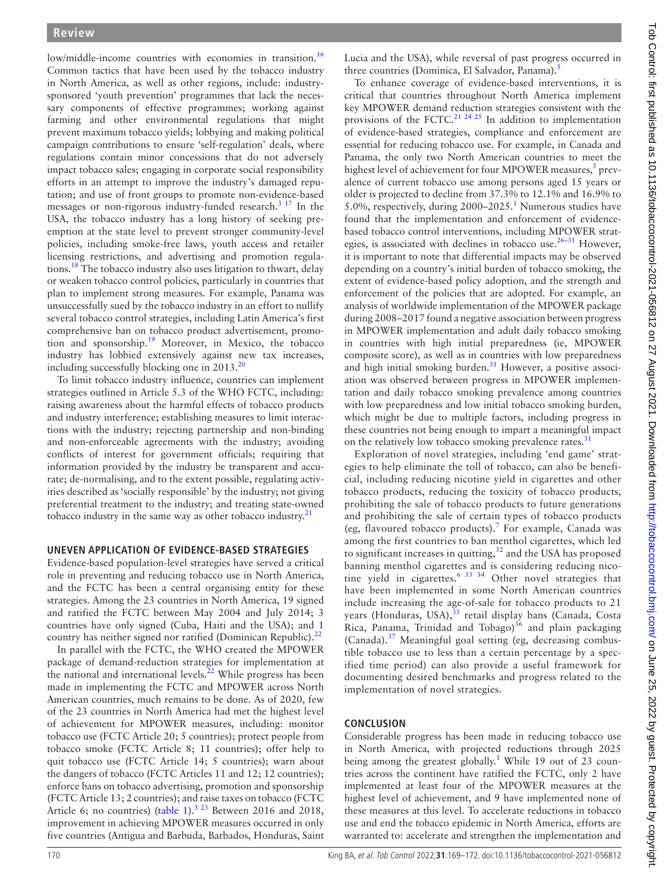low/middle-income countries with economies in transition.<sup>[16](#page-3-5)</sup> Common tactics that have been used by the tobacco industry in North America, as well as other regions, include: industrysponsored 'youth prevention' programmes that lack the necessary components of effective programmes; working against farming and other environmental regulations that might prevent maximum tobacco yields; lobbying and making political campaign contributions to ensure 'self-regulation' deals, where regulations contain minor concessions that do not adversely impact tobacco sales; engaging in corporate social responsibility efforts in an attempt to improve the industry's damaged reputation; and use of front groups to promote non-evidence-based messages or non-rigorous industry-funded research.<sup>[3 17](#page-2-2)</sup> In the USA, the tobacco industry has a long history of seeking preemption at the state level to prevent stronger community-level policies, including smoke-free laws, youth access and retailer licensing restrictions, and advertising and promotion regulations[.18](#page-3-6) The tobacco industry also uses litigation to thwart, delay or weaken tobacco control policies, particularly in countries that plan to implement strong measures. For example, Panama was unsuccessfully sued by the tobacco industry in an effort to nullify several tobacco control strategies, including Latin America's first comprehensive ban on tobacco product advertisement, promotion and sponsorship.[19](#page-3-7) Moreover, in Mexico, the tobacco industry has lobbied extensively against new tax increases, including successfully blocking one in  $2013.^{20}$  $2013.^{20}$ 

To limit tobacco industry influence, countries can implement strategies outlined in Article 5.3 of the WHO FCTC, including: raising awareness about the harmful effects of tobacco products and industry interference; establishing measures to limit interactions with the industry; rejecting partnership and non-binding and non-enforceable agreements with the industry; avoiding conflicts of interest for government officials; requiring that information provided by the industry be transparent and accurate; de-normalising, and to the extent possible, regulating activities described as 'socially responsible' by the industry; not giving preferential treatment to the industry; and treating state-owned tobacco industry in the same way as other tobacco industry. $21$ 

## **UNEVEN APPLICATION OF EVIDENCE-BASED STRATEGIES**

Evidence-based population-level strategies have served a critical role in preventing and reducing tobacco use in North America, and the FCTC has been a central organising entity for these strategies. Among the 23 countries in North America, 19 signed and ratified the FCTC between May 2004 and July 2014; 3 countries have only signed (Cuba, Haiti and the USA); and 1 country has neither signed nor ratified (Dominican Republic).<sup>[22](#page-3-10)</sup>

In parallel with the FCTC, the WHO created the MPOWER package of demand-reduction strategies for implementation at the national and international levels. $^{22}$  $^{22}$  $^{22}$  While progress has been made in implementing the FCTC and MPOWER across North American countries, much remains to be done. As of 2020, few of the 23 countries in North America had met the highest level of achievement for MPOWER measures, including: monitor tobacco use (FCTC Article 20; 5 countries); protect people from tobacco smoke (FCTC Article 8; 11 countries); offer help to quit tobacco use (FCTC Article 14; 5 countries); warn about the dangers of tobacco (FCTC Articles 11 and 12; 12 countries); enforce bans on tobacco advertising, promotion and sponsorship (FCTC Article 13; 2 countries); and raise taxes on tobacco (FCTC Article 6; no countries) ([table](#page-2-6) 1).<sup>5 23</sup> Between 2016 and 2018, improvement in achieving MPOWER measures occurred in only five countries (Antigua and Barbuda, Barbados, Honduras, Saint

Lucia and the USA), while reversal of past progress occurred in three countries (Dominica, El Salvador, Panama).<sup>5</sup>

To enhance coverage of evidence-based interventions, it is critical that countries throughout North America implement key MPOWER demand reduction strategies consistent with the provisions of the FCTC.<sup>[21 24 25](#page-3-9)</sup> In addition to implementation of evidence-based strategies, compliance and enforcement are essential for reducing tobacco use. For example, in Canada and Panama, the only two North American countries to meet the highest level of achievement for four MPOWER measures,<sup>5</sup> prevalence of current tobacco use among persons aged 15 years or older is projected to decline from 37.3% to 12.1% and 16.9% to 5.0%, respectively, during  $2000-2025$ .<sup>[1](#page-2-0)</sup> Numerous studies have found that the implementation and enforcement of evidencebased tobacco control interventions, including MPOWER strategies, is associated with declines in tobacco use. $26-31$  However, it is important to note that differential impacts may be observed depending on a country's initial burden of tobacco smoking, the extent of evidence-based policy adoption, and the strength and enforcement of the policies that are adopted. For example, an analysis of worldwide implementation of the MPOWER package during 2008–2017 found a negative association between progress in MPOWER implementation and adult daily tobacco smoking in countries with high initial preparedness (ie, MPOWER composite score), as well as in countries with low preparedness and high initial smoking burden.<sup>31</sup> However, a positive association was observed between progress in MPOWER implementation and daily tobacco smoking prevalence among countries with low preparedness and low initial tobacco smoking burden, which might be due to multiple factors, including progress in these countries not being enough to impart a meaningful impact on the relatively low tobacco smoking prevalence rates.<sup>31</sup>

Exploration of novel strategies, including 'end game' strategies to help eliminate the toll of tobacco, can also be beneficial, including reducing nicotine yield in cigarettes and other tobacco products, reducing the toxicity of tobacco products, prohibiting the sale of tobacco products to future generations and prohibiting the sale of certain types of tobacco products (eg, flavoured tobacco products).<sup>[7](#page-3-1)</sup> For example, Canada was among the first countries to ban menthol cigarettes, which led to significant increases in quitting,<sup>[32](#page-3-13)</sup> and the USA has proposed banning menthol cigarettes and is considering reducing nicotine yield in cigarettes.<sup>6 33 34</sup> Other novel strategies that have been implemented in some North American countries include increasing the age-of-sale for tobacco products to 21 years (Honduras, USA), $35$  retail display bans (Canada, Costa Rica, Panama, Trinidad and Tobago) $36$  and plain packaging (Canada).<sup>[37](#page-3-16)</sup> Meaningful goal setting (eg, decreasing combustible tobacco use to less than a certain percentage by a specified time period) can also provide a useful framework for documenting desired benchmarks and progress related to the implementation of novel strategies.

# **CONCLUSION**

Considerable progress has been made in reducing tobacco use in North America, with projected reductions through 2025 being among the greatest globally.<sup>[1](#page-2-0)</sup> While 19 out of 23 countries across the continent have ratified the FCTC, only 2 have implemented at least four of the MPOWER measures at the highest level of achievement, and 9 have implemented none of these measures at this level. To accelerate reductions in tobacco use and end the tobacco epidemic in North America, efforts are warranted to: accelerate and strengthen the implementation and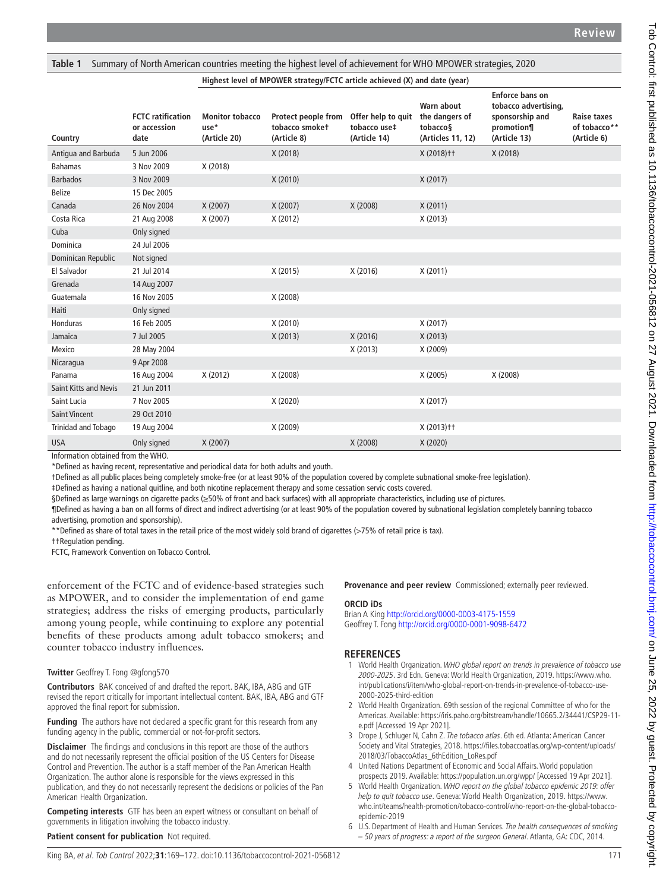<span id="page-2-6"></span>**Table 1** Summary of North American countries meeting the highest level of achievement for WHO MPOWER strategies, 2020

#### **Highest level of MPOWER strategy/FCTC article achieved (X) and date (year)**

| Country                      | <b>FCTC</b> ratification<br>or accession<br>date | <b>Monitor tobacco</b><br>use*<br>(Article 20) | Protect people from<br>tobacco smoket<br>(Article 8) | Offer help to quit<br>tobacco use‡<br>(Article 14) | Warn about<br>the dangers of<br>tobacco§<br>(Articles 11, 12) | Enforce bans on<br>tobacco advertising,<br>sponsorship and<br>promotion¶<br>(Article 13) | Raise taxes<br>of tobacco**<br>(Article 6) |
|------------------------------|--------------------------------------------------|------------------------------------------------|------------------------------------------------------|----------------------------------------------------|---------------------------------------------------------------|------------------------------------------------------------------------------------------|--------------------------------------------|
| Antiqua and Barbuda          | 5 Jun 2006                                       |                                                | X (2018)                                             |                                                    | X (2018) † †                                                  | X (2018)                                                                                 |                                            |
| <b>Bahamas</b>               | 3 Nov 2009                                       | X (2018)                                       |                                                      |                                                    |                                                               |                                                                                          |                                            |
| <b>Barbados</b>              | 3 Nov 2009                                       |                                                | X (2010)                                             |                                                    | X(2017)                                                       |                                                                                          |                                            |
| <b>Belize</b>                | 15 Dec 2005                                      |                                                |                                                      |                                                    |                                                               |                                                                                          |                                            |
| Canada                       | 26 Nov 2004                                      | X (2007)                                       | X (2007)                                             | X (2008)                                           | X(2011)                                                       |                                                                                          |                                            |
| Costa Rica                   | 21 Aug 2008                                      | X (2007)                                       | X (2012)                                             |                                                    | X(2013)                                                       |                                                                                          |                                            |
| Cuba                         | Only signed                                      |                                                |                                                      |                                                    |                                                               |                                                                                          |                                            |
| Dominica                     | 24 Jul 2006                                      |                                                |                                                      |                                                    |                                                               |                                                                                          |                                            |
| Dominican Republic           | Not signed                                       |                                                |                                                      |                                                    |                                                               |                                                                                          |                                            |
| El Salvador                  | 21 Jul 2014                                      |                                                | X (2015)                                             | X (2016)                                           | X (2011)                                                      |                                                                                          |                                            |
| Grenada                      | 14 Aug 2007                                      |                                                |                                                      |                                                    |                                                               |                                                                                          |                                            |
| Guatemala                    | 16 Nov 2005                                      |                                                | X (2008)                                             |                                                    |                                                               |                                                                                          |                                            |
| Haiti                        | Only signed                                      |                                                |                                                      |                                                    |                                                               |                                                                                          |                                            |
| <b>Honduras</b>              | 16 Feb 2005                                      |                                                | X (2010)                                             |                                                    | X(2017)                                                       |                                                                                          |                                            |
| Jamaica                      | 7 Jul 2005                                       |                                                | X(2013)                                              | X (2016)                                           | X(2013)                                                       |                                                                                          |                                            |
| Mexico                       | 28 May 2004                                      |                                                |                                                      | X(2013)                                            | X (2009)                                                      |                                                                                          |                                            |
| Nicaragua                    | 9 Apr 2008                                       |                                                |                                                      |                                                    |                                                               |                                                                                          |                                            |
| Panama                       | 16 Aug 2004                                      | X (2012)                                       | X (2008)                                             |                                                    | X (2005)                                                      | X (2008)                                                                                 |                                            |
| <b>Saint Kitts and Nevis</b> | 21 Jun 2011                                      |                                                |                                                      |                                                    |                                                               |                                                                                          |                                            |
| Saint Lucia                  | 7 Nov 2005                                       |                                                | X (2020)                                             |                                                    | X(2017)                                                       |                                                                                          |                                            |
| <b>Saint Vincent</b>         | 29 Oct 2010                                      |                                                |                                                      |                                                    |                                                               |                                                                                          |                                            |
| Trinidad and Tobago          | 19 Aug 2004                                      |                                                | X (2009)                                             |                                                    | X (2013) † †                                                  |                                                                                          |                                            |
| <b>USA</b>                   | Only signed                                      | X (2007)                                       |                                                      | X (2008)                                           | X (2020)                                                      |                                                                                          |                                            |

Information obtained from the WHO.

\*Defined as having recent, representative and periodical data for both adults and youth.

†Defined as all public places being completely smoke-free (or at least 90% of the population covered by complete subnational smoke-free legislation).

‡Defined as having a national quitline, and both nicotine replacement therapy and some cessation servic costs covered.

§Defined as large warnings on cigarette packs (≥50% of front and back surfaces) with all appropriate characteristics, including use of pictures.

¶Defined as having a ban on all forms of direct and indirect advertising (or at least 90% of the population covered by subnational legislation completely banning tobacco advertising, promotion and sponsorship).

\*\*Defined as share of total taxes in the retail price of the most widely sold brand of cigarettes (>75% of retail price is tax).

††Regulation pending.

FCTC, Framework Convention on Tobacco Control.

enforcement of the FCTC and of evidence-based strategies such as MPOWER, and to consider the implementation of end game strategies; address the risks of emerging products, particularly among young people, while continuing to explore any potential benefits of these products among adult tobacco smokers; and counter tobacco industry influences.

#### **Twitter** Geoffrey T. Fong [@gfong570](https://twitter.com/gfong570)

**Contributors** BAK conceived of and drafted the report. BAK, IBA, ABG and GTF revised the report critically for important intellectual content. BAK, IBA, ABG and GTF approved the final report for submission.

**Funding** The authors have not declared a specific grant for this research from any funding agency in the public, commercial or not-for-profit sectors.

**Disclaimer** The findings and conclusions in this report are those of the authors and do not necessarily represent the official position of the US Centers for Disease Control and Prevention. The author is a staff member of the Pan American Health Organization. The author alone is responsible for the views expressed in this publication, and they do not necessarily represent the decisions or policies of the Pan American Health Organization.

**Competing interests** GTF has been an expert witness or consultant on behalf of governments in litigation involving the tobacco industry.

**Patient consent for publication** Not required.

**Provenance and peer review** Commissioned; externally peer reviewed.

#### **ORCID iDs**

Brian A King <http://orcid.org/0000-0003-4175-1559> Geoffrey T. Fong <http://orcid.org/0000-0001-9098-6472>

## **REFERENCES**

- <span id="page-2-0"></span>1 World Health Organization. WHO global report on trends in prevalence of tobacco use 2000-2025. 3rd Edn. Geneva: World Health Organization, 2019. [https://www.who.](https://www.who.int/publications/i/item/who-global-report-on-trends-in-prevalence-of-tobacco-use-2000-2025-third-edition) [int/publications/i/item/who-global-report-on-trends-in-prevalence-of-tobacco-use-](https://www.who.int/publications/i/item/who-global-report-on-trends-in-prevalence-of-tobacco-use-2000-2025-third-edition)[2000-2025-third-edition](https://www.who.int/publications/i/item/who-global-report-on-trends-in-prevalence-of-tobacco-use-2000-2025-third-edition)
- <span id="page-2-1"></span>2 World Health Organization. 69th session of the regional Committee of who for the Americas. Available: [https://iris.paho.org/bitstream/handle/10665.2/34441/CSP29-11](https://iris.paho.org/bitstream/handle/10665.2/34441/CSP29-11-e.pdf) [e.pdf](https://iris.paho.org/bitstream/handle/10665.2/34441/CSP29-11-e.pdf) [Accessed 19 Apr 2021].
- <span id="page-2-2"></span>3 Drope J, Schluger N, Cahn Z. The tobacco atlas. 6th ed. Atlanta: American Cancer Society and Vital Strategies, 2018. [https://files.tobaccoatlas.org/wp-content/uploads/](https://files.tobaccoatlas.org/wp-content/uploads/2018/03/TobaccoAtlas_6thEdition_LoRes.pdf) [2018/03/TobaccoAtlas\\_6thEdition\\_LoRes.pdf](https://files.tobaccoatlas.org/wp-content/uploads/2018/03/TobaccoAtlas_6thEdition_LoRes.pdf)
- <span id="page-2-3"></span>4 United Nations Department of Economic and Social Affairs. World population prospects 2019. Available:<https://population.un.org/wpp/> [Accessed 19 Apr 2021].
- <span id="page-2-4"></span>5 World Health Organization. WHO report on the global tobacco epidemic 2019: offer help to quit tobacco use. Geneva: World Health Organization, 2019. [https://www.](https://www.who.int/teams/health-promotion/tobacco-control/who-report-on-the-global-tobacco-epidemic-2019) [who.int/teams/health-promotion/tobacco-control/who-report-on-the-global-tobacco](https://www.who.int/teams/health-promotion/tobacco-control/who-report-on-the-global-tobacco-epidemic-2019)[epidemic-2019](https://www.who.int/teams/health-promotion/tobacco-control/who-report-on-the-global-tobacco-epidemic-2019)
- <span id="page-2-5"></span>6 U.S. Department of Health and Human Services. The health consequences of smoking – 50 years of progress: a report of the surgeon General. Atlanta, GA: CDC, 2014.